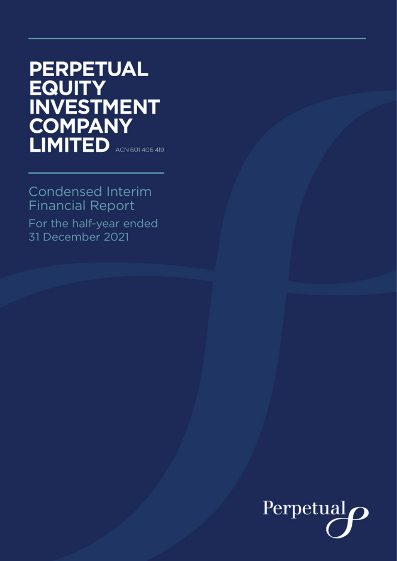# **PERPETUAL EQUITY INVESTMENT COMPANY** LIMITED ACN 601 406 419

# **Condensed Interim Financial Report**

For the half-year ended 31 December 2021

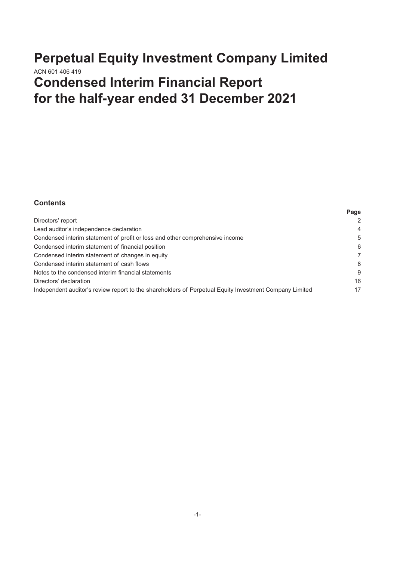# **Perpetual Equity Investment Company Limited** ACN 601 406 419 **Condensed Interim Financial Report for the half-year ended 31 December 2021**

# **Contents**

|                                                                                                        | <b>rage</b>    |
|--------------------------------------------------------------------------------------------------------|----------------|
| Directors' report                                                                                      | 2              |
| Lead auditor's independence declaration                                                                | $\overline{4}$ |
| Condensed interim statement of profit or loss and other comprehensive income                           | 5              |
| Condensed interim statement of financial position                                                      | 6              |
| Condensed interim statement of changes in equity                                                       | 7              |
| Condensed interim statement of cash flows                                                              | 8              |
| Notes to the condensed interim financial statements                                                    | 9              |
| Directors' declaration                                                                                 | 16             |
| Independent auditor's review report to the shareholders of Perpetual Equity Investment Company Limited | 17             |
|                                                                                                        |                |

**Page**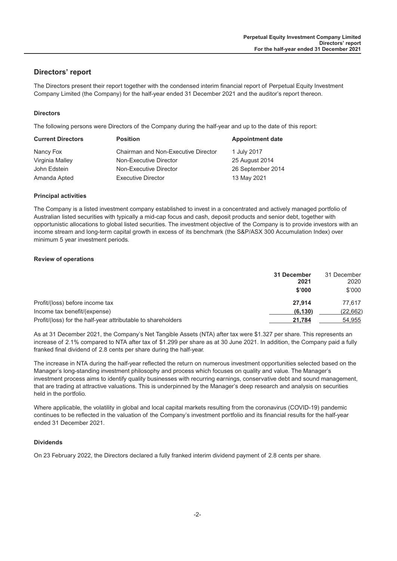# <span id="page-2-0"></span>**Directors' report**

The Directors present their report together with the condensed interim financial report of Perpetual Equity Investment Company Limited (the Company) for the half-year ended 31 December 2021 and the auditor's report thereon.

#### **Directors**

The following persons were Directors of the Company during the half-year and up to the date of this report:

| <b>Current Directors</b> | <b>Position</b>                     | <b>Appointment date</b> |
|--------------------------|-------------------------------------|-------------------------|
| Nancy Fox                | Chairman and Non-Executive Director | 1 July 2017             |
| Virginia Malley          | Non-Executive Director              | 25 August 2014          |
| John Edstein             | Non-Executive Director              | 26 September 2014       |
| Amanda Apted             | <b>Executive Director</b>           | 13 May 2021             |

#### **Principal activities**

The Company is a listed investment company established to invest in a concentrated and actively managed portfolio of Australian listed securities with typically a mid-cap focus and cash, deposit products and senior debt, together with opportunistic allocations to global listed securities. The investment objective of the Company is to provide investors with an income stream and long-term capital growth in excess of its benchmark (the S&P/ASX 300 Accumulation Index) over minimum 5 year investment periods.

#### **Review of operations**

|                                                              | 31 December<br>2021 | 31 December<br>2020 |
|--------------------------------------------------------------|---------------------|---------------------|
|                                                              | \$'000              | \$'000              |
| Profit/(loss) before income tax                              | 27.914              | 77.617              |
| Income tax benefit/(expense)                                 | (6, 130)            | (22,662)            |
| Profit/(loss) for the half-year attributable to shareholders | 21.784              | 54,955              |

As at 31 December 2021, the Company's Net Tangible Assets (NTA) after tax were \$1.327 per share. This represents an increase of 2.1% compared to NTA after tax of \$1.299 per share as at 30 June 2021. In addition, the Company paid a fully franked final dividend of 2.8 cents per share during the half-year.

The increase in NTA during the half-year reflected the return on numerous investment opportunities selected based on the Manager's long-standing investment philosophy and process which focuses on quality and value. The Manager's investment process aims to identify quality businesses with recurring earnings, conservative debt and sound management, that are trading at attractive valuations. This is underpinned by the Manager's deep research and analysis on securities held in the portfolio.

Where applicable, the volatility in global and local capital markets resulting from the coronavirus (COVID-19) pandemic continues to be reflected in the valuation of the Company's investment portfolio and its financial results for the half-year ended 31 December 2021.

#### **Dividends**

On 23 February 2022, the Directors declared a fully franked interim dividend payment of 2.8 cents per share.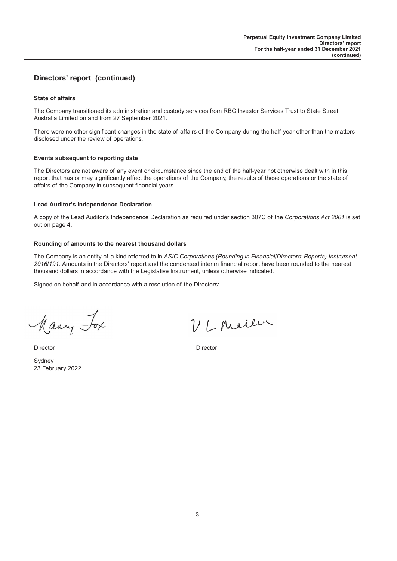# **Directors' report (continued)**

#### **State of affairs**

The Company transitioned its administration and custody services from RBC Investor Services Trust to State Street Australia Limited on and from 27 September 2021.

There were no other significant changes in the state of affairs of the Company during the half year other than the matters disclosed under the review of operations.

#### **Events subsequent to reporting date**

The Directors are not aware of any event or circumstance since the end of the half-year not otherwise dealt with in this report that has or may significantly affect the operations of the Company, the results of these operations or the state of affairs of the Company in subsequent financial years.

#### **Lead Auditor's Independence Declaration**

A copy of the Lead Auditor's Independence Declaration as required under section 307C of the *Corporations Act 2001* is set out on page 4.

#### **Rounding of amounts to the nearest thousand dollars**

The Company is an entity of a kind referred to in *ASIC Corporations (Rounding in Financial/Directors' Reports) Instrument 2016/191*. Amounts in the Directors' report and the condensed interim financial report have been rounded to the nearest thousand dollars in accordance with the Legislative Instrument, unless otherwise indicated.

Signed on behalf and in accordance with a resolution of the Directors:

Many Fox

Sydney 23 February 2022

VL Maller

Director Director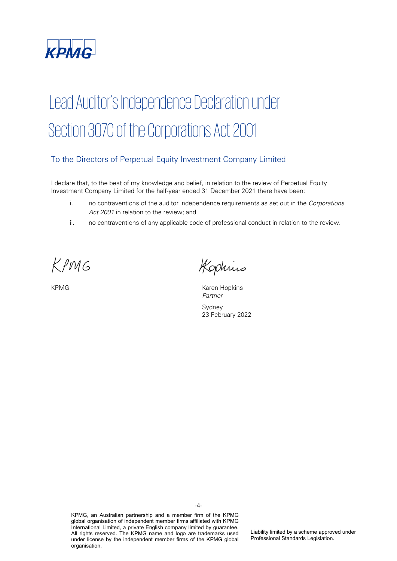<span id="page-4-0"></span>

# Lead Auditor's Independence Declaration under Section 307C of the Corporations Act 2001

# To the Directors of Perpetual Equity Investment Company Limited

I declare that, to the best of my knowledge and belief, in relation to the review of Perpetual Equity Investment Company Limited for the half-year ended 31 December 2021 there have been:

- i. no contraventions of the auditor independence requirements as set out in the Corporations Act 2001 in relation to the review; and
- ii. no contraventions of any applicable code of professional conduct in relation to the review.

KPMG

Kophius

KPMG KAREN KAREN KAREN HOPKINS Partner

> Sydney 23 February 2022

KPMG, an Australian partnership and a member firm of the KPMG global organisation of independent member firms affiliated with KPMG International Limited, a private English company limited by guarantee. All rights reserved. The KPMG name and logo are trademarks used under license by the independent member firms of the KPMG global organisation.

Liability limited by a scheme approved under Professional Standards Legislation.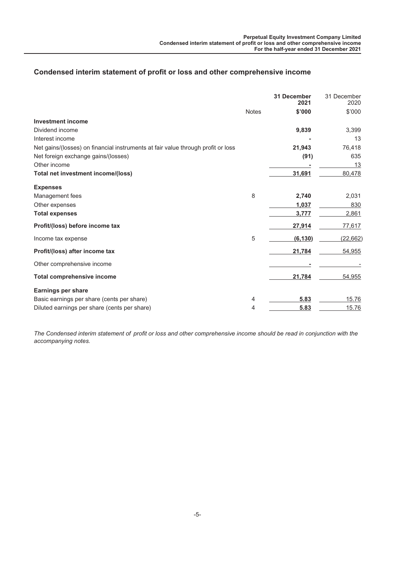# <span id="page-5-0"></span>**Condensed interim statement of profit or loss and other comprehensive income**

|                                                                                  |              | <b>31 December</b><br>2021 | 31 December<br>2020 |
|----------------------------------------------------------------------------------|--------------|----------------------------|---------------------|
|                                                                                  | <b>Notes</b> | \$'000                     | \$'000              |
| <b>Investment income</b>                                                         |              |                            |                     |
| Dividend income                                                                  |              | 9,839                      | 3,399               |
| Interest income                                                                  |              |                            | 13                  |
| Net gains/(losses) on financial instruments at fair value through profit or loss |              | 21,943                     | 76,418              |
| Net foreign exchange gains/(losses)                                              |              | (91)                       | 635                 |
| Other income                                                                     |              |                            | 13                  |
| Total net investment income/(loss)                                               |              | 31,691                     | 80,478              |
| <b>Expenses</b>                                                                  |              |                            |                     |
| Management fees                                                                  | 8            | 2,740                      | 2,031               |
| Other expenses                                                                   |              | 1,037                      | 830                 |
| <b>Total expenses</b>                                                            |              | 3,777                      | 2,861               |
| Profit/(loss) before income tax                                                  |              | 27,914                     | 77,617              |
| Income tax expense                                                               | 5            | (6, 130)                   | (22, 662)           |
| Profit/(loss) after income tax                                                   |              | 21,784                     | 54,955              |
| Other comprehensive income                                                       |              |                            |                     |
| <b>Total comprehensive income</b>                                                |              | 21,784                     | 54,955              |
| Earnings per share                                                               |              |                            |                     |
| Basic earnings per share (cents per share)                                       | 4            | 5.83                       | 15.76               |
| Diluted earnings per share (cents per share)                                     | 4            | 5.83                       | 15.76               |

*The Condensed interim statement of profit or loss and other comprehensive income should be read in conjunction with the accompanying notes.*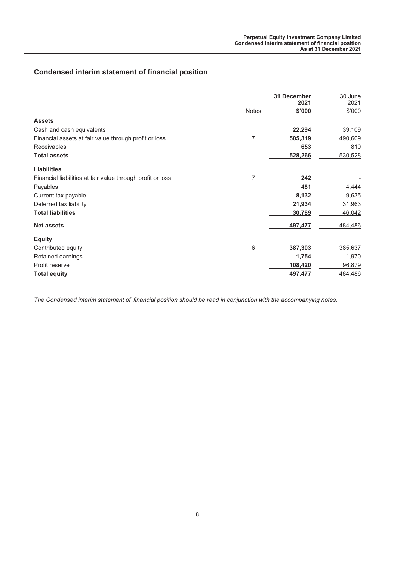# <span id="page-6-0"></span>**Condensed interim statement of financial position**

| 31 December | 30 June<br>2021 |
|-------------|-----------------|
| \$'000      | \$'000          |
|             |                 |
| 22,294      | 39,109          |
| 505,319     | 490,609         |
| 653         | 810             |
| 528,266     | 530,528         |
|             |                 |
| 242         |                 |
| 481         | 4,444           |
| 8,132       | 9,635           |
| 21,934      | 31,963          |
| 30,789      | 46,042          |
| 497,477     | 484,486         |
|             |                 |
| 387,303     | 385,637         |
| 1,754       | 1,970           |
| 108,420     | 96,879          |
| 497,477     | 484,486         |
|             | 2021            |

*The Condensed interim statement of financial position should be read in conjunction with the accompanying notes.*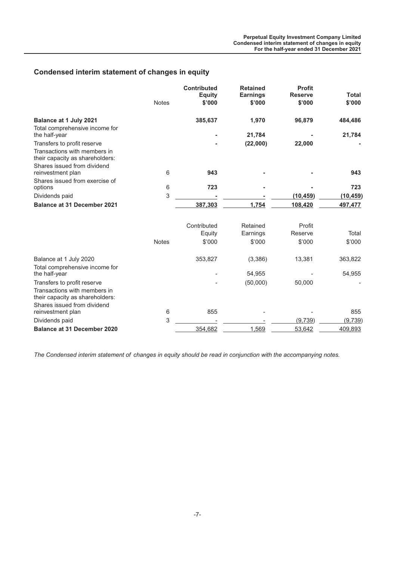# <span id="page-7-0"></span>**Condensed interim statement of changes in equity**

|                                                                 | <b>Notes</b> | <b>Contributed</b><br><b>Equity</b><br>\$'000 | <b>Retained</b><br><b>Earnings</b><br>\$'000 | <b>Profit</b><br><b>Reserve</b><br>\$'000 | <b>Total</b><br>\$'000 |
|-----------------------------------------------------------------|--------------|-----------------------------------------------|----------------------------------------------|-------------------------------------------|------------------------|
| Balance at 1 July 2021                                          |              | 385,637                                       | 1,970                                        | 96,879                                    | 484,486                |
| Total comprehensive income for<br>the half-year                 |              |                                               | 21,784                                       |                                           | 21,784                 |
| Transfers to profit reserve                                     |              |                                               | (22,000)                                     | 22,000                                    |                        |
| Transactions with members in<br>their capacity as shareholders: |              |                                               |                                              |                                           |                        |
| Shares issued from dividend                                     |              |                                               |                                              |                                           |                        |
| reinvestment plan                                               | 6            | 943                                           |                                              |                                           | 943                    |
| Shares issued from exercise of<br>options                       | 6            | 723                                           |                                              |                                           | 723                    |
| Dividends paid                                                  | 3            |                                               |                                              | (10, 459)                                 | (10, 459)              |
| <b>Balance at 31 December 2021</b>                              |              | 387,303                                       | 1,754                                        | 108,420                                   | 497,477                |
|                                                                 |              | Contributed                                   | Retained                                     | Profit                                    |                        |
|                                                                 |              | Equity                                        | Earnings                                     | Reserve                                   | Total                  |
|                                                                 | <b>Notes</b> | \$'000                                        | \$'000                                       | \$'000                                    | \$'000                 |
| Balance at 1 July 2020                                          |              | 353,827                                       | (3,386)                                      | 13,381                                    | 363,822                |
| Total comprehensive income for                                  |              |                                               |                                              |                                           |                        |
| the half-year                                                   |              |                                               | 54,955                                       |                                           | 54,955                 |
| Transfers to profit reserve<br>Transactions with members in     |              |                                               | (50,000)                                     | 50,000                                    |                        |
| their capacity as shareholders:                                 |              |                                               |                                              |                                           |                        |
| Shares issued from dividend<br>reinvestment plan                | 6            | 855                                           |                                              |                                           | 855                    |
| Dividends paid                                                  | 3            |                                               |                                              | (9,739)                                   | (9, 739)               |
| <b>Balance at 31 December 2020</b>                              |              | 354,682                                       | 1,569                                        | 53,642                                    | 409,893                |

*The Condensed interim statement of changes in equity should be read in conjunction with the accompanying notes.*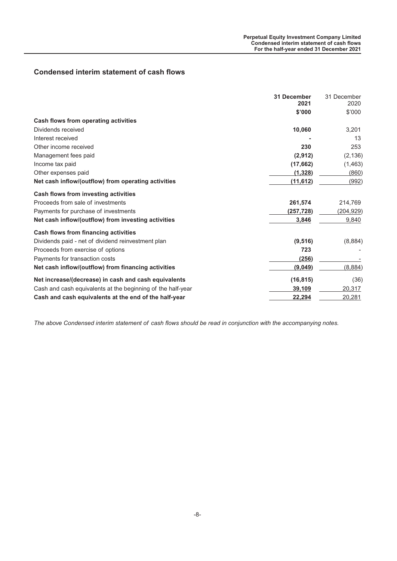# <span id="page-8-0"></span>**Condensed interim statement of cash flows**

|                                                             | <b>31 December</b><br>2021 | 31 December<br>2020 |
|-------------------------------------------------------------|----------------------------|---------------------|
|                                                             |                            |                     |
|                                                             | \$'000                     | \$'000              |
| Cash flows from operating activities                        |                            |                     |
| Dividends received                                          | 10,060                     | 3,201               |
| Interest received                                           |                            | 13                  |
| Other income received                                       | 230                        | 253                 |
| Management fees paid                                        | (2,912)                    | (2, 136)            |
| Income tax paid                                             | (17, 662)                  | (1, 463)            |
| Other expenses paid                                         | (1, 328)                   | (860)               |
| Net cash inflow/(outflow) from operating activities         | (11, 612)                  | <u>(992)</u>        |
| Cash flows from investing activities                        |                            |                     |
| Proceeds from sale of investments                           | 261,574                    | 214,769             |
| Payments for purchase of investments                        | (257, 728)                 | (204, 929)          |
| Net cash inflow/(outflow) from investing activities         | 3,846                      | 9,840               |
| <b>Cash flows from financing activities</b>                 |                            |                     |
| Dividends paid - net of dividend reinvestment plan          | (9, 516)                   | (8,884)             |
| Proceeds from exercise of options                           | 723                        |                     |
| Payments for transaction costs                              | (256)                      |                     |
| Net cash inflow/(outflow) from financing activities         | (9,049)                    | (8,884)             |
| Net increase/(decrease) in cash and cash equivalents        | (16, 815)                  | (36)                |
| Cash and cash equivalents at the beginning of the half-year | 39,109                     | 20,317              |
| Cash and cash equivalents at the end of the half-year       | 22,294                     | 20,281              |

*The above Condensed interim statement of cash flows should be read in conjunction with the accompanying notes.*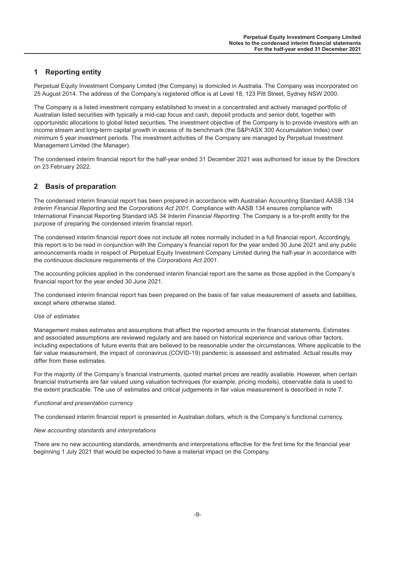# <span id="page-9-0"></span>**1 Reporting entity**

Perpetual Equity Investment Company Limited (the Company) is domiciled in Australia. The Company was incorporated on 25 August 2014. The address of the Company's registered office is at Level 18, 123 Pitt Street, Sydney NSW 2000.

The Company is a listed investment company established to invest in a concentrated and actively managed portfolio of Australian listed securities with typically a mid-cap focus and cash, deposit products and senior debt, together with opportunistic allocations to global listed securities. The investment objective of the Company is to provide investors with an income stream and long-term capital growth in excess of its benchmark (the S&P/ASX 300 Accumulation Index) over minimum 5 year investment periods. The investment activities of the Company are managed by Perpetual Investment Management Limited (the Manager).

The condensed interim financial report for the half-year ended 31 December 2021 was authorised for issue by the Directors on 23 February 2022.

# **2 Basis of preparation**

The condensed interim financial report has been prepared in accordance with Australian Accounting Standard AASB 134 *Interim Financial Reporting* and the *Corporations Act 2001*. Compliance with AASB 134 ensures compliance with International Financial Reporting Standard IAS 34 *Interim Financial Reporting*. The Company is a for-profit entity for the purpose of preparing the condensed interim financial report.

The condensed interim financial report does not include all notes normally included in a full financial report. Accordingly, this report is to be read in conjunction with the Company's financial report for the year ended 30 June 2021 and any public announcements made in respect of Perpetual Equity Investment Company Limited during the half-year in accordance with the continuous disclosure requirements of the *Corporations Act 2001*.

The accounting policies applied in the condensed interim financial report are the same as those applied in the Company's financial report for the year ended 30 June 2021.

The condensed interim financial report has been prepared on the basis of fair value measurement of assets and liabilities, except where otherwise stated.

#### *Use of estimates*

Management makes estimates and assumptions that affect the reported amounts in the financial statements. Estimates and associated assumptions are reviewed regularly and are based on historical experience and various other factors, including expectations of future events that are believed to be reasonable under the circumstances. Where applicable to the fair value measurement, the impact of coronavirus (COVID-19) pandemic is assessed and estimated. Actual results may differ from these estimates.

For the majority of the Company's financial instruments, quoted market prices are readily available. However, when certain financial instruments are fair valued using valuation techniques (for example, pricing models), observable data is used to the extent practicable. The use of estimates and critical judgements in fair value measurement is described in note 7.

#### *Functional and presentation currency*

The condensed interim financial report is presented in Australian dollars, which is the Company's functional currency.

#### *New accounting standards and interpretations*

There are no new accounting standards, amendments and interpretations effective for the first time for the financial year beginning 1 July 2021 that would be expected to have a material impact on the Company.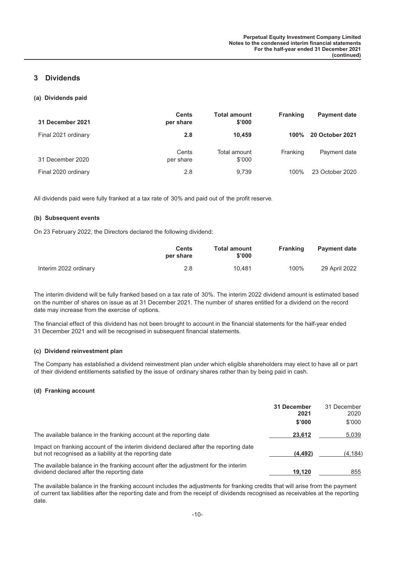# **3 Dividends**

#### **(a) Dividends paid**

| 31 December 2021    | <b>Cents</b><br>per share | <b>Total amount</b><br>\$'000 | <b>Franking</b> | <b>Payment date</b>    |
|---------------------|---------------------------|-------------------------------|-----------------|------------------------|
| Final 2021 ordinary | 2.8                       | 10.459                        | 100%            | <b>20 October 2021</b> |
| 31 December 2020    | Cents<br>per share        | Total amount<br>\$'000        | Franking        | Payment date           |
| Final 2020 ordinary | 2.8                       | 9.739                         | $100\%$         | 23 October 2020        |

All dividends paid were fully franked at a tax rate of 30% and paid out of the profit reserve.

#### **(b) Subsequent events**

On 23 February 2022, the Directors declared the following dividend:

|                       | Cents<br>per share | <b>Total amount</b><br>\$'000 | Franking | <b>Payment date</b> |
|-----------------------|--------------------|-------------------------------|----------|---------------------|
| Interim 2022 ordinary | 2.8                | 10.481                        | 100%     | 29 April 2022       |

The interim dividend will be fully franked based on a tax rate of 30%. The interim 2022 dividend amount is estimated based on the number of shares on issue as at 31 December 2021. The number of shares entitled for a dividend on the record date may increase from the exercise of options.

The financial effect of this dividend has not been brought to account in the financial statements for the half-year ended 31 December 2021 and will be recognised in subsequent financial statements.

#### **(c) Dividend reinvestment plan**

The Company has established a dividend reinvestment plan under which eligible shareholders may elect to have all or part of their dividend entitlements satisfied by the issue of ordinary shares rather than by being paid in cash.

#### **(d) Franking account**

|                                                                                                                                                 | 31 December<br>2021<br>\$'000 | 31 December<br>2020<br>\$'000 |
|-------------------------------------------------------------------------------------------------------------------------------------------------|-------------------------------|-------------------------------|
| The available balance in the franking account at the reporting date                                                                             | 23.612                        | 5,039                         |
| Impact on franking account of the interim dividend declared after the reporting date<br>but not recognised as a liability at the reporting date | (4, 492)                      | (4, 184)                      |
| The available balance in the franking account after the adjustment for the interim<br>dividend declared after the reporting date                | 19.120                        | 855                           |

The available balance in the franking account includes the adjustments for franking credits that will arise from the payment of current tax liabilities after the reporting date and from the receipt of dividends recognised as receivables at the reporting date.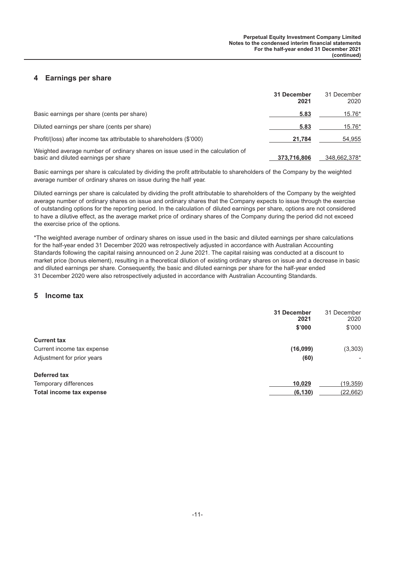# **4 Earnings per share**

|                                                                                                                        | 31 December<br>2021 | 31 December<br>2020 |
|------------------------------------------------------------------------------------------------------------------------|---------------------|---------------------|
| Basic earnings per share (cents per share)                                                                             | 5.83                | 15.76*              |
| Diluted earnings per share (cents per share)                                                                           | 5.83                | 15.76*              |
| Profit/(loss) after income tax attributable to shareholders (\$'000)                                                   | 21.784              | 54.955              |
| Weighted average number of ordinary shares on issue used in the calculation of<br>basic and diluted earnings per share | 373.716.806         | 348.662.378*        |

Basic earnings per share is calculated by dividing the profit attributable to shareholders of the Company by the weighted average number of ordinary shares on issue during the half year.

Diluted earnings per share is calculated by dividing the profit attributable to shareholders of the Company by the weighted average number of ordinary shares on issue and ordinary shares that the Company expects to issue through the exercise of outstanding options for the reporting period. In the calculation of diluted earnings per share, options are not considered to have a dilutive effect, as the average market price of ordinary shares of the Company during the period did not exceed the exercise price of the options.

\*The weighted average number of ordinary shares on issue used in the basic and diluted earnings per share calculations for the half-year ended 31 December 2020 was retrospectively adjusted in accordance with Australian Accounting Standards following the capital raising announced on 2 June 2021. The capital raising was conducted at a discount to market price (bonus element), resulting in a theoretical dilution of existing ordinary shares on issue and a decrease in basic and diluted earnings per share. Consequently, the basic and diluted earnings per share for the half-year ended 31 December 2020 were also retrospectively adjusted in accordance with Australian Accounting Standards.

#### **5 Income tax**

|                            | 31 December<br>2021<br>\$'000 | 31 December<br>2020<br>\$'000 |
|----------------------------|-------------------------------|-------------------------------|
| <b>Current tax</b>         |                               |                               |
| Current income tax expense | (16,099)                      | (3, 303)                      |
| Adjustment for prior years | (60)                          |                               |
| Deferred tax               |                               |                               |
| Temporary differences      | 10,029                        | (19, 359)                     |
| Total income tax expense   | (6, 130)                      | (22, 662)                     |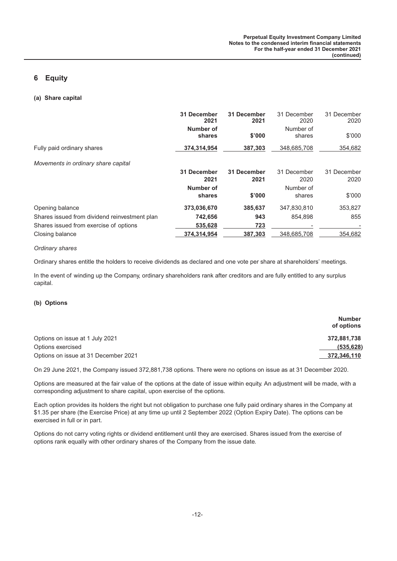# **6 Equity**

#### **(a) Share capital**

|                                               | 31 December<br>2021 | 31 December<br>2021 | 31 December<br>2020 | 31 December<br>2020 |
|-----------------------------------------------|---------------------|---------------------|---------------------|---------------------|
|                                               | Number of<br>shares | \$'000              | Number of<br>shares | \$'000              |
| Fully paid ordinary shares                    | 374,314,954         | 387,303             | 348,685,708         | 354,682             |
| Movements in ordinary share capital           |                     |                     |                     |                     |
|                                               | 31 December         | 31 December         | 31 December         | 31 December         |
|                                               | 2021                | 2021                | 2020                | 2020                |
|                                               | Number of           |                     | Number of           |                     |
|                                               | shares              | \$'000              | shares              | \$'000              |
| Opening balance                               | 373,036,670         | 385.637             | 347,830,810         | 353,827             |
| Shares issued from dividend reinvestment plan | 742,656             | 943                 | 854.898             | 855                 |
| Shares issued from exercise of options        | 535,628             | 723                 |                     |                     |
| Closing balance                               | 374.314.954         | 387.303             | 348.685.708         | 354,682             |

#### *Ordinary shares*

Ordinary shares entitle the holders to receive dividends as declared and one vote per share at shareholders' meetings.

In the event of winding up the Company, ordinary shareholders rank after creditors and are fully entitled to any surplus capital.

#### **(b) Options**

|                                      | <b>Number</b><br>of options |
|--------------------------------------|-----------------------------|
| Options on issue at 1 July 2021      | 372.881.738                 |
| Options exercised                    | (535, 628)                  |
| Options on issue at 31 December 2021 | 372.346.110                 |

On 29 June 2021, the Company issued 372,881,738 options. There were no options on issue as at 31 December 2020.

Options are measured at the fair value of the options at the date of issue within equity. An adjustment will be made, with a corresponding adjustment to share capital, upon exercise of the options.

Each option provides its holders the right but not obligation to purchase one fully paid ordinary shares in the Company at \$1.35 per share (the Exercise Price) at any time up until 2 September 2022 (Option Expiry Date). The options can be exercised in full or in part.

Options do not carry voting rights or dividend entitlement until they are exercised. Shares issued from the exercise of options rank equally with other ordinary shares of the Company from the issue date.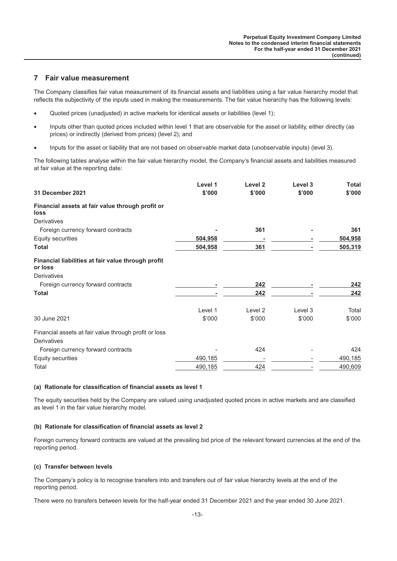# **7 Fair value measurement**

The Company classifies fair value measurement of its financial assets and liabilities using a fair value hierarchy model that reflects the subjectivity of the inputs used in making the measurements. The fair value hierarchy has the following levels:

- Quoted prices (unadjusted) in active markets for identical assets or liabilities (level 1);
- Inputs other than quoted prices included within level 1 that are observable for the asset or liability, either directly (as prices) or indirectly (derived from prices) (level 2); and
- Inputs for the asset or liability that are not based on observable market data (unobservable inputs) (level 3).

The following tables analyse within the fair value hierarchy model, the Company's financial assets and liabilities measured at fair value at the reporting date:

|                                                               | Level 1 | Level 2 | Level 3 | <b>Total</b> |
|---------------------------------------------------------------|---------|---------|---------|--------------|
| 31 December 2021                                              | \$'000  | \$'000  | \$'000  | \$'000       |
| Financial assets at fair value through profit or<br>loss      |         |         |         |              |
| <b>Derivatives</b>                                            |         |         |         |              |
| Foreign currency forward contracts                            |         | 361     |         | 361          |
| Equity securities                                             | 504,958 |         |         | 504,958      |
| <b>Total</b>                                                  | 504,958 | 361     |         | 505,319      |
| Financial liabilities at fair value through profit<br>or loss |         |         |         |              |
| <b>Derivatives</b>                                            |         |         |         |              |
| Foreign currency forward contracts                            |         | 242     |         | 242          |
| <b>Total</b>                                                  |         | 242     |         | 242          |
|                                                               | Level 1 | Level 2 | Level 3 | Total        |
| 30 June 2021                                                  | \$'000  | \$'000  | \$'000  | \$'000       |
| Financial assets at fair value through profit or loss         |         |         |         |              |
| Derivatives                                                   |         |         |         |              |
| Foreign currency forward contracts                            |         | 424     |         | 424          |
| Equity securities                                             | 490,185 |         |         | 490,185      |
| Total                                                         | 490,185 | 424     |         | 490,609      |

#### **(a) Rationale for classification of financial assets as level 1**

The equity securities held by the Company are valued using unadjusted quoted prices in active markets and are classified as level 1 in the fair value hierarchy model.

#### **(b) Rationale for classification of financial assets as level 2**

Foreign currency forward contracts are valued at the prevailing bid price of the relevant forward currencies at the end of the reporting period.

#### **(c) Transfer between levels**

The Company's policy is to recognise transfers into and transfers out of fair value hierarchy levels at the end of the reporting period.

There were no transfers between levels for the half-year ended 31 December 2021 and the year ended 30 June 2021.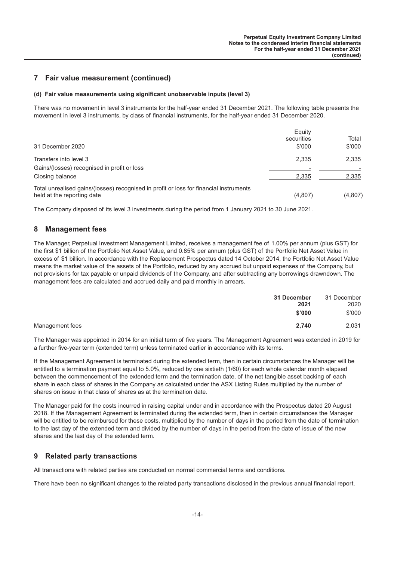# **7 Fair value measurement (continued)**

#### **(d) Fair value measurements using significant unobservable inputs (level 3)**

There was no movement in level 3 instruments for the half-year ended 31 December 2021. The following table presents the movement in level 3 instruments, by class of financial instruments, for the half-year ended 31 December 2020.

| 31 December 2020                                                                                                     | Equity<br>securities<br>\$'000 | Total<br>\$'000 |
|----------------------------------------------------------------------------------------------------------------------|--------------------------------|-----------------|
| Transfers into level 3                                                                                               | 2.335                          | 2.335           |
| Gains/(losses) recognised in profit or loss                                                                          |                                |                 |
| Closing balance                                                                                                      | 2.335                          | 2.335           |
| Total unrealised gains/(losses) recognised in profit or loss for financial instruments<br>held at the reporting date | (4,807)                        | (4,807)         |

The Company disposed of its level 3 investments during the period from 1 January 2021 to 30 June 2021.

## **8 Management fees**

The Manager, Perpetual Investment Management Limited, receives a management fee of 1.00% per annum (plus GST) for the first \$1 billion of the Portfolio Net Asset Value, and 0.85% per annum (plus GST) of the Portfolio Net Asset Value in excess of \$1 billion. In accordance with the Replacement Prospectus dated 14 October 2014, the Portfolio Net Asset Value means the market value of the assets of the Portfolio, reduced by any accrued but unpaid expenses of the Company, but not provisions for tax payable or unpaid dividends of the Company, and after subtracting any borrowings drawndown. The management fees are calculated and accrued daily and paid monthly in arrears.

| 2,740           | 31 December | 31 December     |
|-----------------|-------------|-----------------|
| Management fees | 2021        | 2020            |
|                 | \$'000      | \$'000<br>2,031 |

The Manager was appointed in 2014 for an initial term of five years. The Management Agreement was extended in 2019 for a further five-year term (extended term) unless terminated earlier in accordance with its terms.

If the Management Agreement is terminated during the extended term, then in certain circumstances the Manager will be entitled to a termination payment equal to 5.0%, reduced by one sixtieth (1/60) for each whole calendar month elapsed between the commencement of the extended term and the termination date, of the net tangible asset backing of each share in each class of shares in the Company as calculated under the ASX Listing Rules multiplied by the number of shares on issue in that class of shares as at the termination date.

The Manager paid for the costs incurred in raising capital under and in accordance with the Prospectus dated 20 August 2018. If the Management Agreement is terminated during the extended term, then in certain circumstances the Manager will be entitled to be reimbursed for these costs, multiplied by the number of days in the period from the date of termination to the last day of the extended term and divided by the number of days in the period from the date of issue of the new shares and the last day of the extended term.

## **9 Related party transactions**

All transactions with related parties are conducted on normal commercial terms and conditions.

There have been no significant changes to the related party transactions disclosed in the previous annual financial report.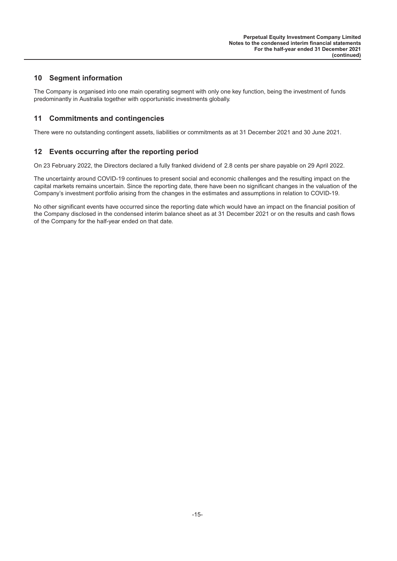# **10 Segment information**

The Company is organised into one main operating segment with only one key function, being the investment of funds predominantly in Australia together with opportunistic investments globally.

# **11 Commitments and contingencies**

There were no outstanding contingent assets, liabilities or commitments as at 31 December 2021 and 30 June 2021.

# **12 Events occurring after the reporting period**

On 23 February 2022, the Directors declared a fully franked dividend of 2.8 cents per share payable on 29 April 2022.

The uncertainty around COVID-19 continues to present social and economic challenges and the resulting impact on the capital markets remains uncertain. Since the reporting date, there have been no significant changes in the valuation of the Company's investment portfolio arising from the changes in the estimates and assumptions in relation to COVID-19.

No other significant events have occurred since the reporting date which would have an impact on the financial position of the Company disclosed in the condensed interim balance sheet as at 31 December 2021 or on the results and cash flows of the Company for the half-year ended on that date.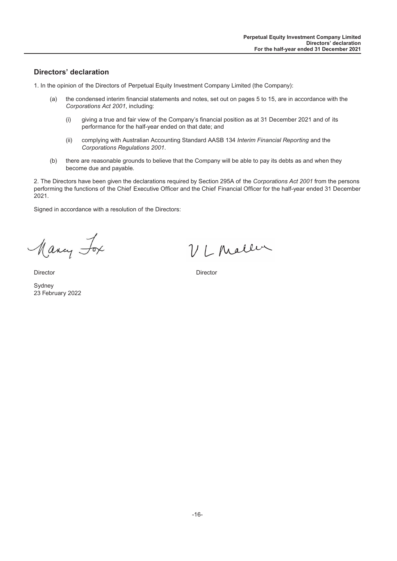# <span id="page-16-0"></span>**Directors' declaration**

1. In the opinion of the Directors of Perpetual Equity Investment Company Limited (the Company):

- (a) the condensed interim financial statements and notes, set out on pages 5 to 15, are in accordance with the *Corporations Act 2001*, including:
	- (i) giving a true and fair view of the Company's financial position as at 31 December 2021 and of its performance for the half-year ended on that date; and
	- (ii) complying with Australian Accounting Standard AASB 134 *Interim Financial Reporting* and the *Corporations Regulations 2001*.
- (b) there are reasonable grounds to believe that the Company will be able to pay its debts as and when they become due and payable.

2. The Directors have been given the declarations required by Section 295A of the *Corporations Act 2001* from the persons performing the functions of the Chief Executive Officer and the Chief Financial Officer for the half-year ended 31 December 2021.

Signed in accordance with a resolution of the Directors:

Many Fox

VLMaller

Director Director

Sydney 23 February 2022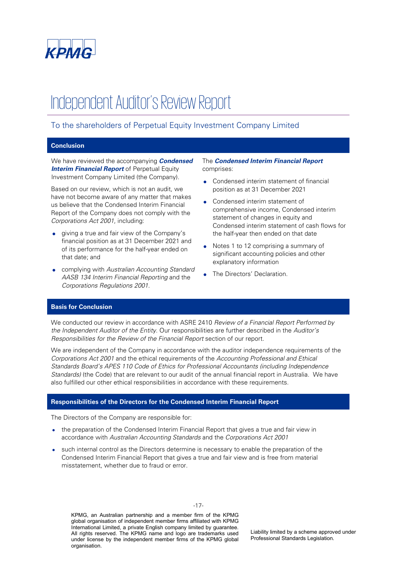<span id="page-17-0"></span>

# Independent Auditor's Review Report

# To the shareholders of Perpetual Equity Investment Company Limited

# **Conclusion**

We have reviewed the accompanying **Condensed Interim Financial Report** of Perpetual Equity Investment Company Limited (the Company).

Based on our review, which is not an audit, we have not become aware of any matter that makes us believe that the Condensed Interim Financial Report of the Company does not comply with the Corporations Act 2001, including:

- giving a true and fair view of the Company's financial position as at 31 December 2021 and of its performance for the half-year ended on that date; and
- complying with Australian Accounting Standard AASB 134 Interim Financial Reporting and the Corporations Regulations 2001.

The **Condensed Interim Financial Report** comprises:

- Condensed interim statement of financial position as at 31 December 2021
- Condensed interim statement of comprehensive income, Condensed interim statement of changes in equity and Condensed interim statement of cash flows for the half-year then ended on that date
- Notes 1 to 12 comprising a summary of significant accounting policies and other explanatory information
- The Directors' Declaration.

#### **Basis for Conclusion**

We conducted our review in accordance with ASRE 2410 Review of a Financial Report Performed by the Independent Auditor of the Entity. Our responsibilities are further described in the Auditor's Responsibilities for the Review of the Financial Report section of our report.

We are independent of the Company in accordance with the auditor independence requirements of the Corporations Act 2001 and the ethical requirements of the Accounting Professional and Ethical Standards Board's APES 110 Code of Ethics for Professional Accountants (including Independence Standards) (the Code) that are relevant to our audit of the annual financial report in Australia. We have also fulfilled our other ethical responsibilities in accordance with these requirements.

#### **Responsibilities of the Directors for the Condensed Interim Financial Report**

The Directors of the Company are responsible for:

- the preparation of the Condensed Interim Financial Report that gives a true and fair view in accordance with Australian Accounting Standards and the Corporations Act 2001
- such internal control as the Directors determine is necessary to enable the preparation of the Condensed Interim Financial Report that gives a true and fair view and is free from material misstatement, whether due to fraud or error.

-17-

KPMG, an Australian partnership and a member firm of the KPMG global organisation of independent member firms affiliated with KPMG International Limited, a private English company limited by guarantee. All rights reserved. The KPMG name and logo are trademarks used under license by the independent member firms of the KPMG global organisation.

Liability limited by a scheme approved under Professional Standards Legislation.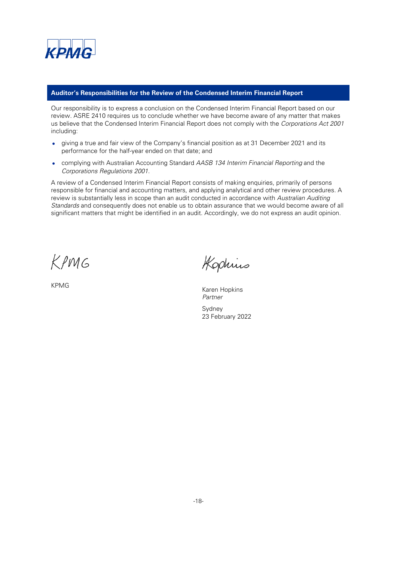

#### **Auditor's Responsibilities for the Review of the Condensed Interim Financial Report**

Our responsibility is to express a conclusion on the Condensed Interim Financial Report based on our review. ASRE 2410 requires us to conclude whether we have become aware of any matter that makes us believe that the Condensed Interim Financial Report does not comply with the Corporations Act 2001 including:

- giving a true and fair view of the Company's financial position as at 31 December 2021 and its performance for the half-year ended on that date; and
- complying with Australian Accounting Standard AASB 134 Interim Financial Reporting and the Corporations Regulations 2001.

A review of a Condensed Interim Financial Report consists of making enquiries, primarily of persons responsible for financial and accounting matters, and applying analytical and other review procedures. A review is substantially less in scope than an audit conducted in accordance with Australian Auditing Standards and consequently does not enable us to obtain assurance that we would become aware of all significant matters that might be identified in an audit. Accordingly, we do not express an audit opinion.

KPMG

Kophius

KPMG Karen Hopkins Partner Sydney 23 February 2022